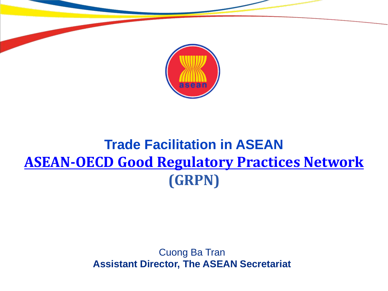

### **Trade Facilitation in ASEAN [ASEAN-OECD Good Regulatory Practices Network](https://eur02.safelinks.protection.outlook.com/?url=https%3A%2F%2Fwww.oecd.org%2Fgov%2Fregulatory-policy%2Fasean-oecd-good-regulatory-practice-network.htm&data=04%7C01%7CJames.DRUMMOND%40oecd.org%7C21d8b667e97647a6b96208d987022dbb%7Cac41c7d41f61460db0f4fc925a2b471c%7C0%7C0%7C637689265722409694%7CUnknown%7CTWFpbGZsb3d8eyJWIjoiMC4wLjAwMDAiLCJQIjoiV2luMzIiLCJBTiI6Ik1haWwiLCJXVCI6Mn0%3D%7C1000&sdata=8HXfhZlt174RVOjzQ%2BmVsek3gueLjYmjSJXL6Sd465Q%3D&reserved=0) (GRPN)**

#### Cuong Ba Tran **Assistant Director, The ASEAN Secretariat**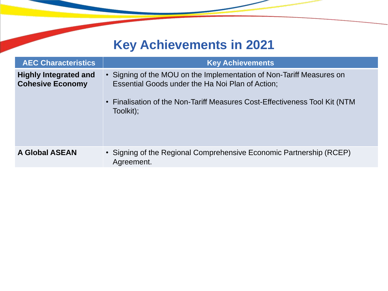### **Key Achievements in 2021**

| <b>AEC Characteristics</b>                              | <b>Key Achievements</b>                                                                                                                                                                                             |
|---------------------------------------------------------|---------------------------------------------------------------------------------------------------------------------------------------------------------------------------------------------------------------------|
| <b>Highly Integrated and</b><br><b>Cohesive Economy</b> | • Signing of the MOU on the Implementation of Non-Tariff Measures on<br>Essential Goods under the Ha Noi Plan of Action;<br>• Finalisation of the Non-Tariff Measures Cost-Effectiveness Tool Kit (NTM<br>Toolkit); |
| <b>A Global ASEAN</b>                                   | • Signing of the Regional Comprehensive Economic Partnership (RCEP)<br>Agreement.                                                                                                                                   |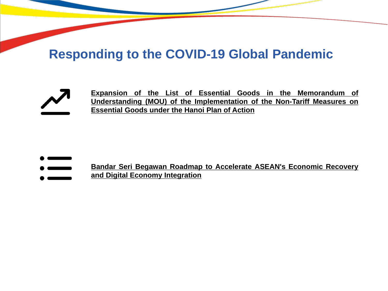### **Responding to the COVID-19 Global Pandemic**



**Expansion of the List of Essential Goods in the Memorandum of Understanding (MOU) of the Implementation of the Non-Tariff Measures on Essential Goods under the Hanoi Plan of Action**

- **Bandar Seri Begawan Roadmap to Accelerate ASEAN's Economic Recovery**
- **and Digital Economy Integration**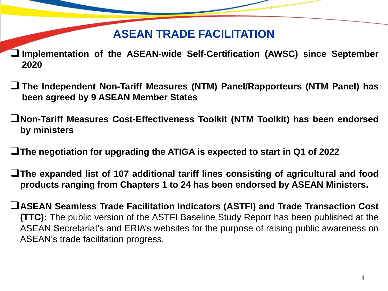### **ASEAN TRADE FACILITATION**

- **Implementation of the ASEAN-wide Self-Certification (AWSC) since September 2020**
- **The Independent Non-Tariff Measures (NTM) Panel/Rapporteurs (NTM Panel) has been agreed by 9 ASEAN Member States**
- **Non-Tariff Measures Cost-Effectiveness Toolkit (NTM Toolkit) has been endorsed by ministers**
- **The negotiation for upgrading the ATIGA is expected to start in Q1 of 2022**
- **The expanded list of 107 additional tariff lines consisting of agricultural and food products ranging from Chapters 1 to 24 has been endorsed by ASEAN Ministers.**
- **ASEAN Seamless Trade Facilitation Indicators (ASTFI) and Trade Transaction Cost (TTC):** The public version of the ASTFI Baseline Study Report has been published at the ASEAN Secretariat's and ERIA's websites for the purpose of raising public awareness on ASEAN's trade facilitation progress.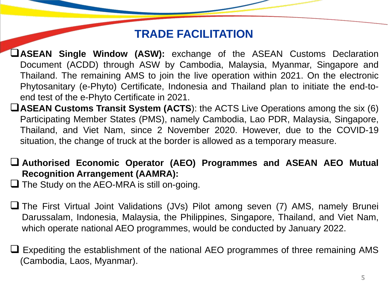### **TRADE FACILITATION**

- **ASEAN Single Window (ASW):** exchange of the ASEAN Customs Declaration Document (ACDD) through ASW by Cambodia, Malaysia, Myanmar, Singapore and Thailand. The remaining AMS to join the live operation within 2021. On the electronic Phytosanitary (e-Phyto) Certificate, Indonesia and Thailand plan to initiate the end-toend test of the e-Phyto Certificate in 2021.
- **ASEAN Customs Transit System (ACTS**): the ACTS Live Operations among the six (6) Participating Member States (PMS), namely Cambodia, Lao PDR, Malaysia, Singapore, Thailand, and Viet Nam, since 2 November 2020. However, due to the COVID-19 situation, the change of truck at the border is allowed as a temporary measure.
- **Authorised Economic Operator (AEO) Programmes and ASEAN AEO Mutual Recognition Arrangement (AAMRA):**

 $\Box$  The Study on the AEO-MRA is still on-going.

- The First Virtual Joint Validations (JVs) Pilot among seven (7) AMS, namely Brunei Darussalam, Indonesia, Malaysia, the Philippines, Singapore, Thailand, and Viet Nam, which operate national AEO programmes, would be conducted by January 2022.
- Expediting the establishment of the national AEO programmes of three remaining AMS (Cambodia, Laos, Myanmar).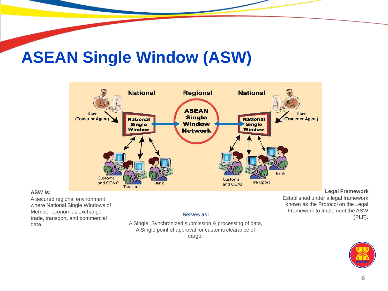

#### **ASW is:**

A secured regional environment where National Single Windows of Member economies exchange trade, transport, and commercial data.

#### **Serves as:**

A Single, Synchronized submission & processing of data, A Single point of approval for customs clearance of

cargo.

#### **Legal Framework**

Established under a legal framework known as the Protocol on the Legal Framework to Implement the ASW (PLF).



.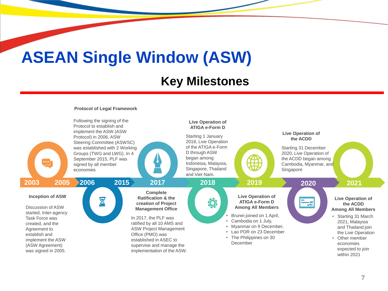### **Key Milestones**

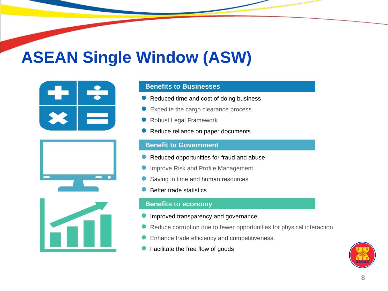





#### **Benefits to Businesses**

- Reduced time and cost of doing business
- Expedite the cargo clearance process
- Robust Legal Framework
- Reduce reliance on paper documents

#### **Benefit to Government**

- Reduced opportunities for fraud and abuse
- Improve Risk and Profile Management
- Saving in time and human resources
- Better trade statistics

#### **Benefits to economy**

- Improved transparency and governance
- Reduce corruption due to fewer opportunities for physical interaction
- Enhance trade efficiency and competitiveness.
- Facilitate the free flow of goods

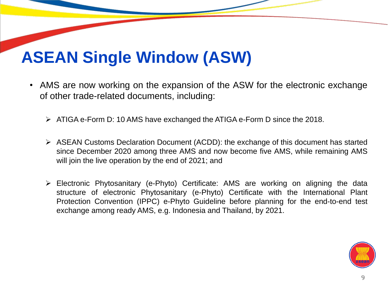- AMS are now working on the expansion of the ASW for the electronic exchange of other trade-related documents, including:
	- ATIGA e-Form D: 10 AMS have exchanged the ATIGA e-Form D since the 2018.
	- ASEAN Customs Declaration Document (ACDD): the exchange of this document has started since December 2020 among three AMS and now become five AMS, while remaining AMS will join the live operation by the end of 2021; and
	- Electronic Phytosanitary (e-Phyto) Certificate: AMS are working on aligning the data structure of electronic Phytosanitary (e-Phyto) Certificate with the International Plant Protection Convention (IPPC) e-Phyto Guideline before planning for the end-to-end test exchange among ready AMS, e.g. Indonesia and Thailand, by 2021.

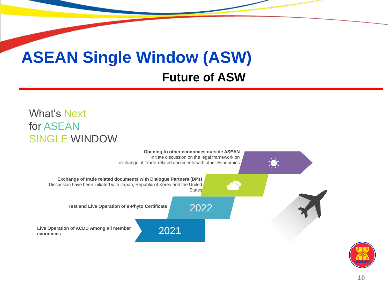## **ASEAN Single Window (ASW) Future of ASW**

#### What's Next for ASEAN SINGLE WINDOW



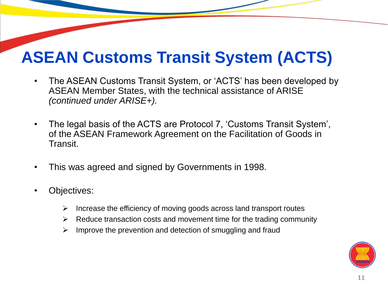- The ASEAN Customs Transit System, or 'ACTS' has been developed by ASEAN Member States, with the technical assistance of ARISE *(continued under ARISE+).*
- The legal basis of the ACTS are Protocol 7, 'Customs Transit System', of the ASEAN Framework Agreement on the Facilitation of Goods in Transit.
- This was agreed and signed by Governments in 1998.
- Objectives:
	- $\triangleright$  Increase the efficiency of moving goods across land transport routes
	- $\triangleright$  Reduce transaction costs and movement time for the trading community
	- $\triangleright$  Improve the prevention and detection of smuggling and fraud

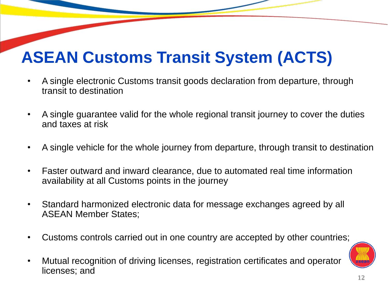- A single electronic Customs transit goods declaration from departure, through transit to destination
- A single guarantee valid for the whole regional transit journey to cover the duties and taxes at risk
- A single vehicle for the whole journey from departure, through transit to destination
- Faster outward and inward clearance, due to automated real time information availability at all Customs points in the journey
- Standard harmonized electronic data for message exchanges agreed by all ASEAN Member States;
- Customs controls carried out in one country are accepted by other countries;
- Mutual recognition of driving licenses, registration certificates and operator licenses; and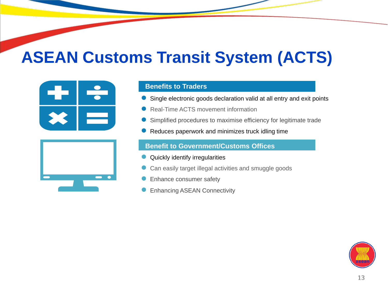



#### **Benefits to Traders**

- Single electronic goods declaration valid at all entry and exit points
- Real-Time ACTS movement information
- Simplified procedures to maximise efficiency for legitimate trade
- Reduces paperwork and minimizes truck idling time

#### **Benefit to Government/Customs Offices**

- Quickly identify irregularities
- Can easily target illegal activities and smuggle goods
- Enhance consumer safety
- Enhancing ASEAN Connectivity

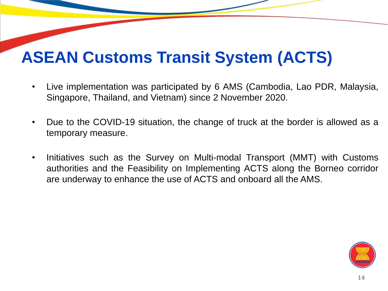- Live implementation was participated by 6 AMS (Cambodia, Lao PDR, Malaysia, Singapore, Thailand, and Vietnam) since 2 November 2020.
- Due to the COVID-19 situation, the change of truck at the border is allowed as a temporary measure.
- Initiatives such as the Survey on Multi-modal Transport (MMT) with Customs authorities and the Feasibility on Implementing ACTS along the Borneo corridor are underway to enhance the use of ACTS and onboard all the AMS.

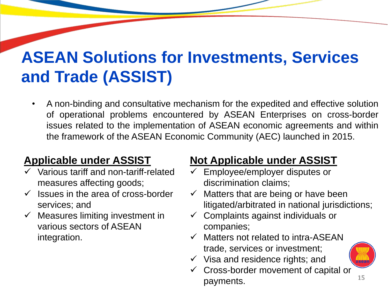# **ASEAN Solutions for Investments, Services and Trade (ASSIST)**

• A non-binding and consultative mechanism for the expedited and effective solution of operational problems encountered by ASEAN Enterprises on cross-border issues related to the implementation of ASEAN economic agreements and within the framework of the ASEAN Economic Community (AEC) launched in 2015.

### **Applicable under ASSIST**

- Various tariff and non-tariff-related measures affecting goods;
- $\checkmark$  Issues in the area of cross-border services; and
- $\checkmark$  Measures limiting investment in various sectors of ASEAN integration.

### **Not Applicable under ASSIST**

- Employee/employer disputes or discrimination claims;
- $\checkmark$  Matters that are being or have been litigated/arbitrated in national jurisdictions;
- $\checkmark$  Complaints against individuals or companies;
- $\checkmark$  Matters not related to intra-ASEAN trade, services or investment;
- $\checkmark$  Visa and residence rights; and
- Cross-border movement of capital or payments.